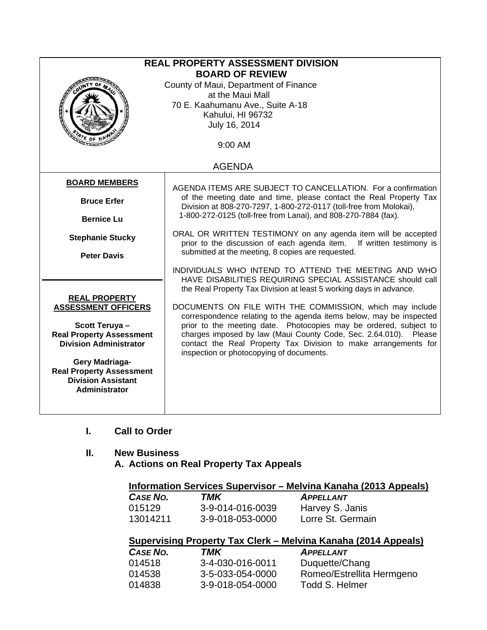|                                                                                                                                                                                         | <b>REAL PROPERTY ASSESSMENT DIVISION</b><br><b>BOARD OF REVIEW</b><br>County of Maui, Department of Finance<br>at the Maui Mall<br>70 E. Kaahumanu Ave., Suite A-18<br>Kahului, HI 96732<br>July 16, 2014                                                                                                                                                                                                                                                                                                                                                                                                                                                                                                                                                                                                                                                                       |
|-----------------------------------------------------------------------------------------------------------------------------------------------------------------------------------------|---------------------------------------------------------------------------------------------------------------------------------------------------------------------------------------------------------------------------------------------------------------------------------------------------------------------------------------------------------------------------------------------------------------------------------------------------------------------------------------------------------------------------------------------------------------------------------------------------------------------------------------------------------------------------------------------------------------------------------------------------------------------------------------------------------------------------------------------------------------------------------|
|                                                                                                                                                                                         | 9:00 AM                                                                                                                                                                                                                                                                                                                                                                                                                                                                                                                                                                                                                                                                                                                                                                                                                                                                         |
|                                                                                                                                                                                         | <b>AGENDA</b>                                                                                                                                                                                                                                                                                                                                                                                                                                                                                                                                                                                                                                                                                                                                                                                                                                                                   |
| <b>BOARD MEMBERS</b><br><b>Bruce Erfer</b><br><b>Bernice Lu</b><br><b>Stephanie Stucky</b><br><b>Peter Davis</b><br><b>REAL PROPERTY</b><br><b>ASSESSMENT OFFICERS</b><br>Scott Teruya- | AGENDA ITEMS ARE SUBJECT TO CANCELLATION. For a confirmation<br>of the meeting date and time, please contact the Real Property Tax<br>Division at 808-270-7297, 1-800-272-0117 (toll-free from Molokai),<br>1-800-272-0125 (toll-free from Lanai), and 808-270-7884 (fax).<br>ORAL OR WRITTEN TESTIMONY on any agenda item will be accepted<br>prior to the discussion of each agenda item.<br>If written testimony is<br>submitted at the meeting, 8 copies are requested.<br>INDIVIDUALS WHO INTEND TO ATTEND THE MEETING AND WHO<br>HAVE DISABILITIES REQUIRING SPECIAL ASSISTANCE should call<br>the Real Property Tax Division at least 5 working days in advance.<br>DOCUMENTS ON FILE WITH THE COMMISSION, which may include<br>correspondence relating to the agenda items below, may be inspected<br>prior to the meeting date. Photocopies may be ordered, subject to |
| <b>Real Property Assessment</b><br><b>Division Administrator</b><br>Gery Madriaga-<br><b>Real Property Assessment</b><br><b>Division Assistant</b><br>Administrator                     | charges imposed by law (Maui County Code, Sec. 2.64.010). Please<br>contact the Real Property Tax Division to make arrangements for<br>inspection or photocopying of documents.                                                                                                                                                                                                                                                                                                                                                                                                                                                                                                                                                                                                                                                                                                 |

**I. Call to Order** 

# **II. New Business**

**A. Actions on Real Property Tax Appeals** 

| Information Services Supervisor – Melvina Kanaha (2013 Appeals) |                  |                   |
|-----------------------------------------------------------------|------------------|-------------------|
| <b>CASE NO.</b>                                                 | TMK              | <b>APPELLANT</b>  |
| 015129                                                          | 3-9-014-016-0039 | Harvey S. Janis   |
| 13014211                                                        | 3-9-018-053-0000 | Lorre St. Germain |

# **Supervising Property Tax Clerk – Melvina Kanaha (2014 Appeals)**

| <b>CASE NO.</b> | TMK              | <b>APPELLANT</b>          |
|-----------------|------------------|---------------------------|
| 014518          | 3-4-030-016-0011 | Duquette/Chang            |
| 014538          | 3-5-033-054-0000 | Romeo/Estrellita Hermgeno |
| 014838          | 3-9-018-054-0000 | Todd S. Helmer            |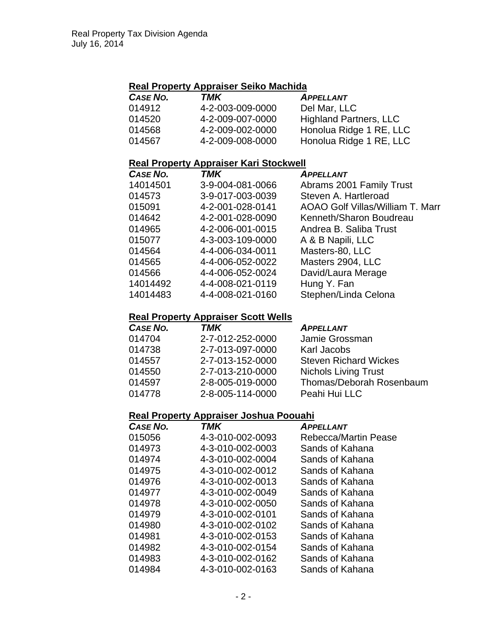### **Real Property Appraiser Seiko Machida**

| CASE NO. | TMK              | <b>APPELLANT</b>              |
|----------|------------------|-------------------------------|
| 014912   | 4-2-003-009-0000 | Del Mar, LLC                  |
| 014520   | 4-2-009-007-0000 | <b>Highland Partners, LLC</b> |
| 014568   | 4-2-009-002-0000 | Honolua Ridge 1 RE, LLC       |
| 014567   | 4-2-009-008-0000 | Honolua Ridge 1 RE, LLC       |

#### **Real Property Appraiser Kari Stockwell**

| CASE NO. | <b>TMK</b>       | <b>APPELLANT</b>                 |
|----------|------------------|----------------------------------|
| 14014501 | 3-9-004-081-0066 | Abrams 2001 Family Trust         |
| 014573   | 3-9-017-003-0039 | Steven A. Hartleroad             |
| 015091   | 4-2-001-028-0141 | AOAO Golf Villas/William T. Marr |
| 014642   | 4-2-001-028-0090 | Kenneth/Sharon Boudreau          |
| 014965   | 4-2-006-001-0015 | Andrea B. Saliba Trust           |
| 015077   | 4-3-003-109-0000 | A & B Napili, LLC                |
| 014564   | 4-4-006-034-0011 | Masters-80, LLC                  |
| 014565   | 4-4-006-052-0022 | Masters 2904, LLC                |
| 014566   | 4-4-006-052-0024 | David/Laura Merage               |
| 14014492 | 4-4-008-021-0119 | Hung Y. Fan                      |
| 14014483 | 4-4-008-021-0160 | Stephen/Linda Celona             |

## **Real Property Appraiser Scott Wells**

| CASE NO. | TMK              | <b>APPELLANT</b>             |
|----------|------------------|------------------------------|
| 014704   | 2-7-012-252-0000 | Jamie Grossman               |
| 014738   | 2-7-013-097-0000 | Karl Jacobs                  |
| 014557   | 2-7-013-152-0000 | <b>Steven Richard Wickes</b> |
| 014550   | 2-7-013-210-0000 | <b>Nichols Living Trust</b>  |
| 014597   | 2-8-005-019-0000 | Thomas/Deborah Rosenbaum     |
| 014778   | 2-8-005-114-0000 | Peahi Hui LLC                |

### **Real Property Appraiser Joshua Poouahi**

| <b>CASE NO.</b> | TMK              | <b>APPELLANT</b>            |
|-----------------|------------------|-----------------------------|
| 015056          | 4-3-010-002-0093 | <b>Rebecca/Martin Pease</b> |
| 014973          | 4-3-010-002-0003 | Sands of Kahana             |
| 014974          | 4-3-010-002-0004 | Sands of Kahana             |
| 014975          | 4-3-010-002-0012 | Sands of Kahana             |
| 014976          | 4-3-010-002-0013 | Sands of Kahana             |
| 014977          | 4-3-010-002-0049 | Sands of Kahana             |
| 014978          | 4-3-010-002-0050 | Sands of Kahana             |
| 014979          | 4-3-010-002-0101 | Sands of Kahana             |
| 014980          | 4-3-010-002-0102 | Sands of Kahana             |
| 014981          | 4-3-010-002-0153 | Sands of Kahana             |
| 014982          | 4-3-010-002-0154 | Sands of Kahana             |
| 014983          | 4-3-010-002-0162 | Sands of Kahana             |
| 014984          | 4-3-010-002-0163 | Sands of Kahana             |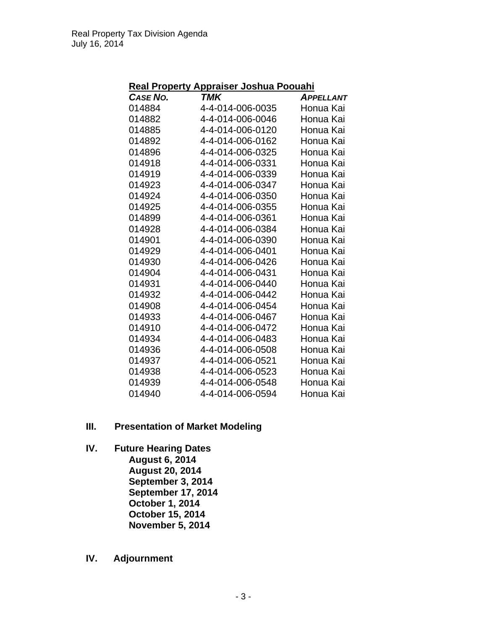| Real Property Appraiser Joshua Poouahi |  |
|----------------------------------------|--|
|----------------------------------------|--|

| CASE NO. | TMK              | <b>APPELLANT</b> |
|----------|------------------|------------------|
| 014884   | 4-4-014-006-0035 | Honua Kai        |
| 014882   | 4-4-014-006-0046 | Honua Kai        |
| 014885   | 4-4-014-006-0120 | Honua Kai        |
| 014892   | 4-4-014-006-0162 | Honua Kai        |
| 014896   | 4-4-014-006-0325 | Honua Kai        |
| 014918   | 4-4-014-006-0331 | Honua Kai        |
| 014919   | 4-4-014-006-0339 | Honua Kai        |
| 014923   | 4-4-014-006-0347 | Honua Kai        |
| 014924   | 4-4-014-006-0350 | Honua Kai        |
| 014925   | 4-4-014-006-0355 | Honua Kai        |
| 014899   | 4-4-014-006-0361 | Honua Kai        |
| 014928   | 4-4-014-006-0384 | Honua Kai        |
| 014901   | 4-4-014-006-0390 | Honua Kai        |
| 014929   | 4-4-014-006-0401 | Honua Kai        |
| 014930   | 4-4-014-006-0426 | Honua Kai        |
| 014904   | 4-4-014-006-0431 | Honua Kai        |
| 014931   | 4-4-014-006-0440 | Honua Kai        |
| 014932   | 4-4-014-006-0442 | Honua Kai        |
| 014908   | 4-4-014-006-0454 | Honua Kai        |
| 014933   | 4-4-014-006-0467 | Honua Kai        |
| 014910   | 4-4-014-006-0472 | Honua Kai        |
| 014934   | 4-4-014-006-0483 | Honua Kai        |
| 014936   | 4-4-014-006-0508 | Honua Kai        |
| 014937   | 4-4-014-006-0521 | Honua Kai        |
| 014938   | 4-4-014-006-0523 | Honua Kai        |
| 014939   | 4-4-014-006-0548 | Honua Kai        |
| 014940   | 4-4-014-006-0594 | Honua Kai        |

- **III. Presentation of Market Modeling**
- **IV. Future Hearing Dates August 6, 2014 August 20, 2014 September 3, 2014 September 17, 2014 October 1, 2014 October 15, 2014 November 5, 2014**
- **IV. Adjournment**